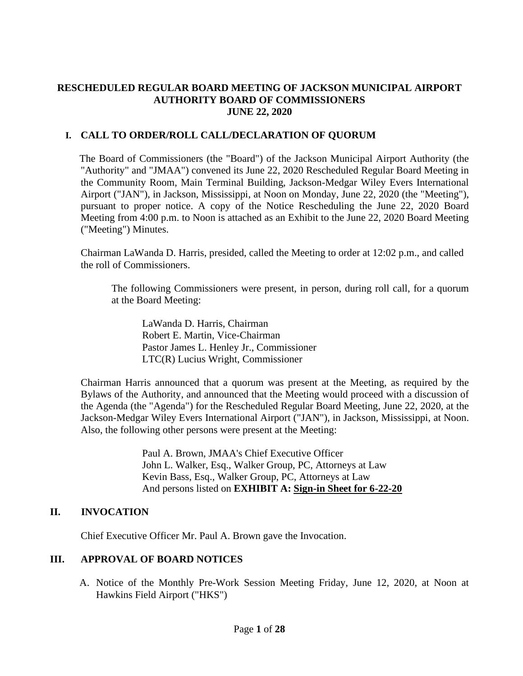### **RESCHEDULED REGULAR BOARD MEETING OF JACKSON MUNICIPAL AIRPORT AUTHORITY BOARD OF COMMISSIONERS JUNE 22, 2020**

### **I. CALL TO ORDER/ROLL CALL/DECLARATION OF QUORUM**

The Board of Commissioners (the "Board") of the Jackson Municipal Airport Authority (the "Authority" and "JMAA") convened its June 22, 2020 Rescheduled Regular Board Meeting in the Community Room, Main Terminal Building, Jackson-Medgar Wiley Evers International Airport ("JAN"), in Jackson, Mississippi, at Noon on Monday, June 22, 2020 (the "Meeting"), pursuant to proper notice. A copy of the Notice Rescheduling the June 22, 2020 Board Meeting from 4:00 p.m. to Noon is attached as an Exhibit to the June 22, 2020 Board Meeting ("Meeting") Minutes.

Chairman LaWanda D. Harris, presided, called the Meeting to order at 12:02 p.m., and called the roll of Commissioners.

The following Commissioners were present, in person, during roll call, for a quorum at the Board Meeting:

LaWanda D. Harris, Chairman Robert E. Martin, Vice-Chairman Pastor James L. Henley Jr., Commissioner LTC(R) Lucius Wright, Commissioner

Chairman Harris announced that a quorum was present at the Meeting, as required by the Bylaws of the Authority, and announced that the Meeting would proceed with a discussion of the Agenda (the "Agenda") for the Rescheduled Regular Board Meeting, June 22, 2020, at the Jackson-Medgar Wiley Evers International Airport ("JAN"), in Jackson, Mississippi, at Noon. Also, the following other persons were present at the Meeting:

> Paul A. Brown, JMAA's Chief Executive Officer John L. Walker, Esq., Walker Group, PC, Attorneys at Law Kevin Bass, Esq., Walker Group, PC, Attorneys at Law And persons listed on **EXHIBIT A: Sign[-in](file:///C:/Users/kevin/AppData/Local/Microsoft/Windows/Temporary%20Internet%20Files/2019-01-28%20Board%20Meeting/2017-07-27%20Board%20Meeting/2016-09-22%20Board%20Meeting/Rescheduled%20Regular%20Board%20Meeting%20Sign%20in%20Sheet%20August%2029%202016.pdf) Sheet for 6-22-20**

### **II. INVOCATION**

Chief Executive Officer Mr. Paul A. Brown gave the Invocation.

## **III. APPROVAL OF BOARD NOTICES**

A. Notice of the Monthly Pre-Work Session Meeting Friday, June 12, 2020, at Noon at Hawkins Field Airport ("HKS")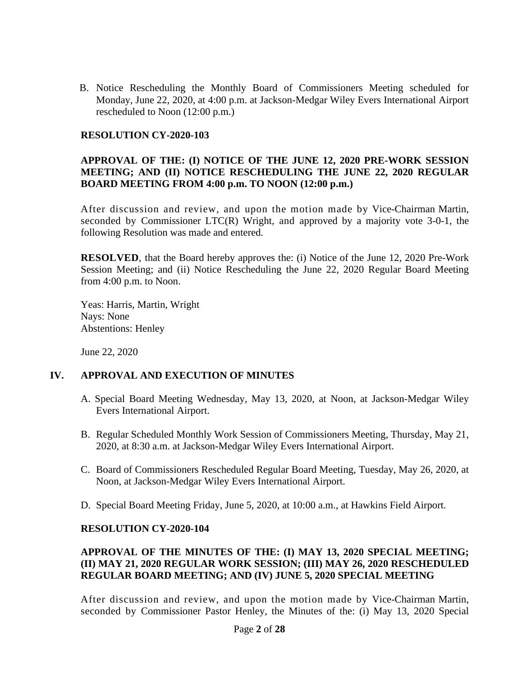B. Notice Rescheduling the Monthly Board of Commissioners Meeting scheduled for Monday, June 22, 2020, at 4:00 p.m. at Jackson-Medgar Wiley Evers International Airport rescheduled to Noon (12:00 p.m.)

### **RESOLUTION CY-2020-103**

### **APPROVAL OF THE: (I) NOTICE OF THE JUNE 12, 2020 PRE-WORK SESSION MEETING; AND (II) NOTICE RESCHEDULING THE JUNE 22, 2020 REGULAR BOARD MEETING FROM 4:00 p.m. TO NOON (12:00 p.m.)**

After discussion and review, and upon the motion made by Vice-Chairman Martin, seconded by Commissioner LTC(R) Wright, and approved by a majority vote 3-0-1, the following Resolution was made and entered.

**RESOLVED**, that the Board hereby approves the: (i) Notice of the June 12, 2020 Pre-Work Session Meeting; and (ii) Notice Rescheduling the June 22, 2020 Regular Board Meeting from 4:00 p.m. to Noon.

Yeas: Harris, Martin, Wright Nays: None Abstentions: Henley

June 22, 2020

## **IV. APPROVAL AND EXECUTION OF MINUTES**

- A. Special Board Meeting Wednesday, May 13, 2020, at Noon, at Jackson-Medgar Wiley Evers International Airport.
- B. Regular Scheduled Monthly Work Session of Commissioners Meeting, Thursday, May 21, 2020, at 8:30 a.m. at Jackson-Medgar Wiley Evers International Airport.
- C. Board of Commissioners Rescheduled Regular Board Meeting, Tuesday, May 26, 2020, at Noon, at Jackson-Medgar Wiley Evers International Airport.
- D. Special Board Meeting Friday, June 5, 2020, at 10:00 a.m., at Hawkins Field Airport.

### **RESOLUTION CY-2020-104**

### **APPROVAL OF THE MINUTES OF THE: (I) MAY 13, 2020 SPECIAL MEETING; (II) MAY 21, 2020 REGULAR WORK SESSION; (III) MAY 26, 2020 RESCHEDULED REGULAR BOARD MEETING; AND (IV) JUNE 5, 2020 SPECIAL MEETING**

After discussion and review, and upon the motion made by Vice-Chairman Martin, seconded by Commissioner Pastor Henley, the Minutes of the: (i) May 13, 2020 Special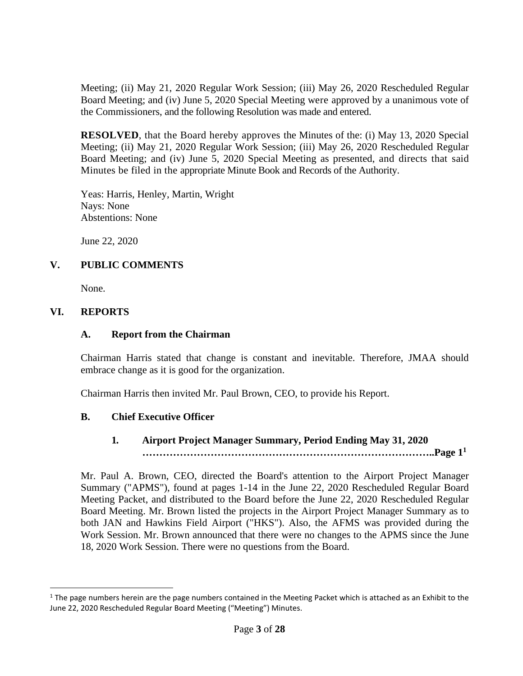Meeting; (ii) May 21, 2020 Regular Work Session; (iii) May 26, 2020 Rescheduled Regular Board Meeting; and (iv) June 5, 2020 Special Meeting were approved by a unanimous vote of the Commissioners, and the following Resolution was made and entered.

**RESOLVED**, that the Board hereby approves the Minutes of the: (i) May 13, 2020 Special Meeting; (ii) May 21, 2020 Regular Work Session; (iii) May 26, 2020 Rescheduled Regular Board Meeting; and (iv) June 5, 2020 Special Meeting as presented, and directs that said Minutes be filed in the appropriate Minute Book and Records of the Authority.

Yeas: Harris, Henley, Martin, Wright Nays: None Abstentions: None

June 22, 2020

## **V. PUBLIC COMMENTS**

None.

### **VI. REPORTS**

### **A. Report from the Chairman**

Chairman Harris stated that change is constant and inevitable. Therefore, JMAA should embrace change as it is good for the organization.

Chairman Harris then invited Mr. Paul Brown, CEO, to provide his Report.

### **B. Chief Executive Officer**

# **1***.* **Airport Project Manager Summary, Period Ending May 31, 2020 …………………………………………………………………………..Page 1 1**

Mr. Paul A. Brown, CEO, directed the Board's attention to the Airport Project Manager Summary ("APMS"), found at pages 1-14 in the June 22, 2020 Rescheduled Regular Board Meeting Packet, and distributed to the Board before the June 22, 2020 Rescheduled Regular Board Meeting. Mr. Brown listed the projects in the Airport Project Manager Summary as to both JAN and Hawkins Field Airport ("HKS"). Also, the AFMS was provided during the Work Session. Mr. Brown announced that there were no changes to the APMS since the June 18, 2020 Work Session. There were no questions from the Board.

 $1$  The page numbers herein are the page numbers contained in the Meeting Packet which is attached as an Exhibit to the June 22, 2020 Rescheduled Regular Board Meeting ("Meeting") Minutes.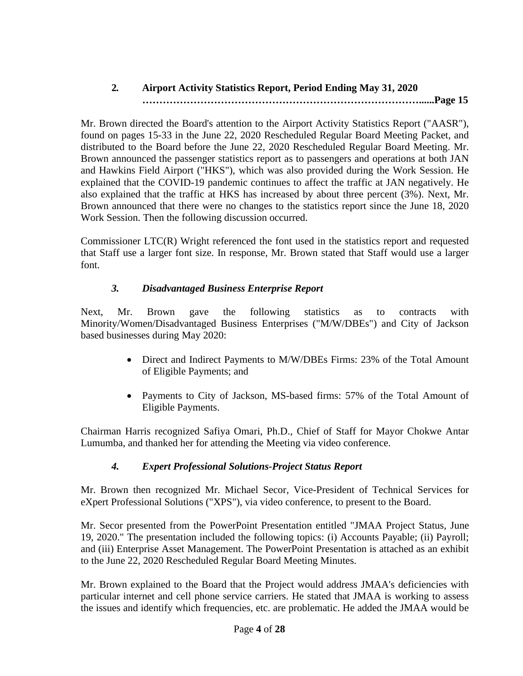## **2***.* **Airport Activity Statistics Report, Period Ending May 31, 2020 ………………………………………………………………………......Page 15**

Mr. Brown directed the Board's attention to the Airport Activity Statistics Report ("AASR"), found on pages 15-33 in the June 22, 2020 Rescheduled Regular Board Meeting Packet, and distributed to the Board before the June 22, 2020 Rescheduled Regular Board Meeting. Mr. Brown announced the passenger statistics report as to passengers and operations at both JAN and Hawkins Field Airport ("HKS"), which was also provided during the Work Session. He explained that the COVID-19 pandemic continues to affect the traffic at JAN negatively. He also explained that the traffic at HKS has increased by about three percent (3%). Next, Mr. Brown announced that there were no changes to the statistics report since the June 18, 2020 Work Session. Then the following discussion occurred.

Commissioner LTC(R) Wright referenced the font used in the statistics report and requested that Staff use a larger font size. In response, Mr. Brown stated that Staff would use a larger font.

## *3. Disadvantaged Business Enterprise Report*

Next, Mr. Brown gave the following statistics as to contracts with Minority/Women/Disadvantaged Business Enterprises ("M/W/DBEs") and City of Jackson based businesses during May 2020:

- Direct and Indirect Payments to M/W/DBEs Firms: 23% of the Total Amount of Eligible Payments; and
- Payments to City of Jackson, MS-based firms: 57% of the Total Amount of Eligible Payments.

Chairman Harris recognized Safiya Omari, Ph.D., Chief of Staff for Mayor Chokwe Antar Lumumba, and thanked her for attending the Meeting via video conference.

## *4. Expert Professional Solutions-Project Status Report*

Mr. Brown then recognized Mr. Michael Secor, Vice-President of Technical Services for eXpert Professional Solutions ("XPS"), via video conference, to present to the Board.

Mr. Secor presented from the PowerPoint Presentation entitled "JMAA Project Status, June 19, 2020." The presentation included the following topics: (i) Accounts Payable; (ii) Payroll; and (iii) Enterprise Asset Management. The PowerPoint Presentation is attached as an exhibit to the June 22, 2020 Rescheduled Regular Board Meeting Minutes.

Mr. Brown explained to the Board that the Project would address JMAA's deficiencies with particular internet and cell phone service carriers. He stated that JMAA is working to assess the issues and identify which frequencies, etc. are problematic. He added the JMAA would be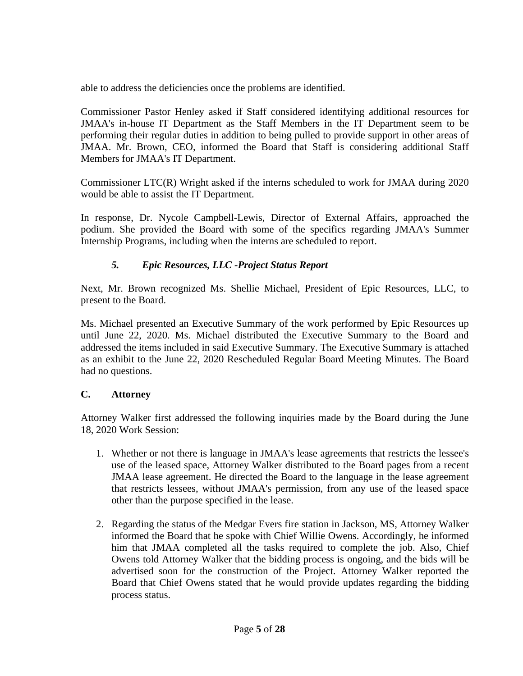able to address the deficiencies once the problems are identified.

Commissioner Pastor Henley asked if Staff considered identifying additional resources for JMAA's in-house IT Department as the Staff Members in the IT Department seem to be performing their regular duties in addition to being pulled to provide support in other areas of JMAA. Mr. Brown, CEO, informed the Board that Staff is considering additional Staff Members for JMAA's IT Department.

Commissioner LTC(R) Wright asked if the interns scheduled to work for JMAA during 2020 would be able to assist the IT Department.

In response, Dr. Nycole Campbell-Lewis, Director of External Affairs, approached the podium. She provided the Board with some of the specifics regarding JMAA's Summer Internship Programs, including when the interns are scheduled to report.

# *5. Epic Resources, LLC -Project Status Report*

Next, Mr. Brown recognized Ms. Shellie Michael, President of Epic Resources, LLC, to present to the Board.

Ms. Michael presented an Executive Summary of the work performed by Epic Resources up until June 22, 2020. Ms. Michael distributed the Executive Summary to the Board and addressed the items included in said Executive Summary. The Executive Summary is attached as an exhibit to the June 22, 2020 Rescheduled Regular Board Meeting Minutes. The Board had no questions.

# **C. Attorney**

Attorney Walker first addressed the following inquiries made by the Board during the June 18, 2020 Work Session:

- 1. Whether or not there is language in JMAA's lease agreements that restricts the lessee's use of the leased space, Attorney Walker distributed to the Board pages from a recent JMAA lease agreement. He directed the Board to the language in the lease agreement that restricts lessees, without JMAA's permission, from any use of the leased space other than the purpose specified in the lease.
- 2. Regarding the status of the Medgar Evers fire station in Jackson, MS, Attorney Walker informed the Board that he spoke with Chief Willie Owens. Accordingly, he informed him that JMAA completed all the tasks required to complete the job. Also, Chief Owens told Attorney Walker that the bidding process is ongoing, and the bids will be advertised soon for the construction of the Project. Attorney Walker reported the Board that Chief Owens stated that he would provide updates regarding the bidding process status.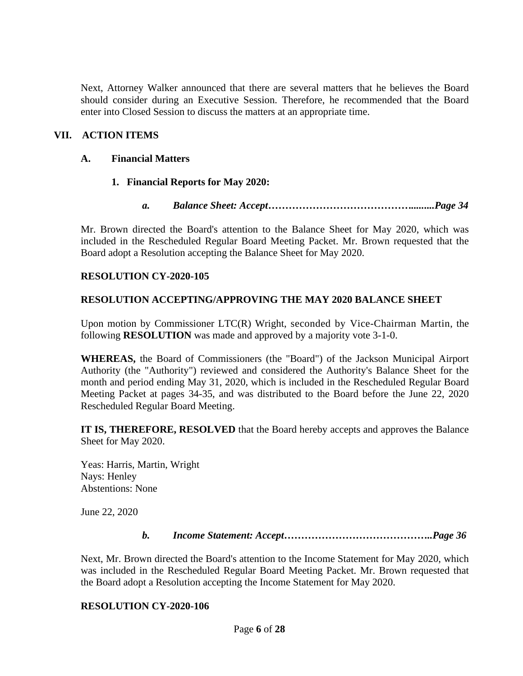Next, Attorney Walker announced that there are several matters that he believes the Board should consider during an Executive Session. Therefore, he recommended that the Board enter into Closed Session to discuss the matters at an appropriate time.

## **VII. ACTION ITEMS**

### **A. Financial Matters**

- **1. Financial Reports for May 2020:**
	- *a. Balance Sheet: Accept…………………………………….........Page 34*

Mr. Brown directed the Board's attention to the Balance Sheet for May 2020, which was included in the Rescheduled Regular Board Meeting Packet. Mr. Brown requested that the Board adopt a Resolution accepting the Balance Sheet for May 2020.

### **RESOLUTION CY-2020-105**

## **RESOLUTION ACCEPTING/APPROVING THE MAY 2020 BALANCE SHEET**

Upon motion by Commissioner LTC(R) Wright, seconded by Vice-Chairman Martin, the following **RESOLUTION** was made and approved by a majority vote 3-1-0.

**WHEREAS,** the Board of Commissioners (the "Board") of the Jackson Municipal Airport Authority (the "Authority") reviewed and considered the Authority's Balance Sheet for the month and period ending May 31, 2020, which is included in the Rescheduled Regular Board Meeting Packet at pages 34-35, and was distributed to the Board before the June 22, 2020 Rescheduled Regular Board Meeting.

**IT IS, THEREFORE, RESOLVED** that the Board hereby accepts and approves the Balance Sheet for May 2020.

Yeas: Harris, Martin, Wright Nays: Henley Abstentions: None

June 22, 2020

### *b. Income Statement: Accept……………………………………..Page 36*

Next, Mr. Brown directed the Board's attention to the Income Statement for May 2020, which was included in the Rescheduled Regular Board Meeting Packet. Mr. Brown requested that the Board adopt a Resolution accepting the Income Statement for May 2020.

### **RESOLUTION CY-2020-106**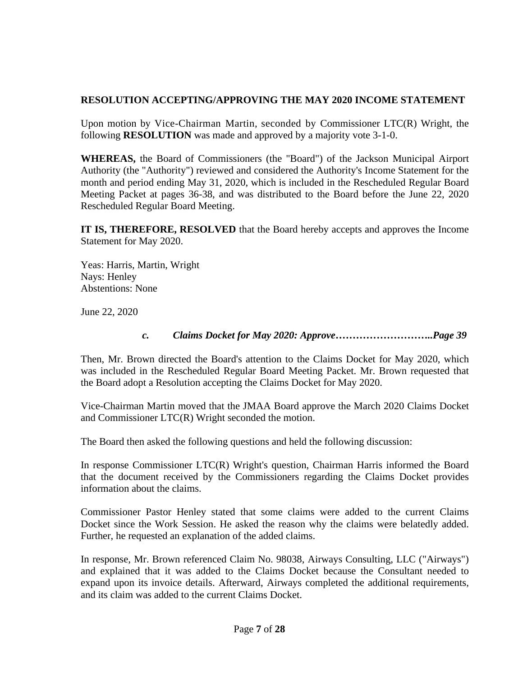## **RESOLUTION ACCEPTING/APPROVING THE MAY 2020 INCOME STATEMENT**

Upon motion by Vice-Chairman Martin, seconded by Commissioner LTC(R) Wright, the following **RESOLUTION** was made and approved by a majority vote 3-1-0.

**WHEREAS,** the Board of Commissioners (the "Board") of the Jackson Municipal Airport Authority (the "Authority") reviewed and considered the Authority's Income Statement for the month and period ending May 31, 2020, which is included in the Rescheduled Regular Board Meeting Packet at pages 36-38, and was distributed to the Board before the June 22, 2020 Rescheduled Regular Board Meeting.

**IT IS, THEREFORE, RESOLVED** that the Board hereby accepts and approves the Income Statement for May 2020.

Yeas: Harris, Martin, Wright Nays: Henley Abstentions: None

June 22, 2020

## *c. Claims Docket for May 2020: Approve………………………..Page 39*

Then, Mr. Brown directed the Board's attention to the Claims Docket for May 2020, which was included in the Rescheduled Regular Board Meeting Packet. Mr. Brown requested that the Board adopt a Resolution accepting the Claims Docket for May 2020.

Vice-Chairman Martin moved that the JMAA Board approve the March 2020 Claims Docket and Commissioner LTC(R) Wright seconded the motion.

The Board then asked the following questions and held the following discussion:

In response Commissioner LTC(R) Wright's question, Chairman Harris informed the Board that the document received by the Commissioners regarding the Claims Docket provides information about the claims.

Commissioner Pastor Henley stated that some claims were added to the current Claims Docket since the Work Session. He asked the reason why the claims were belatedly added. Further, he requested an explanation of the added claims.

In response, Mr. Brown referenced Claim No. 98038, Airways Consulting, LLC ("Airways") and explained that it was added to the Claims Docket because the Consultant needed to expand upon its invoice details. Afterward, Airways completed the additional requirements, and its claim was added to the current Claims Docket.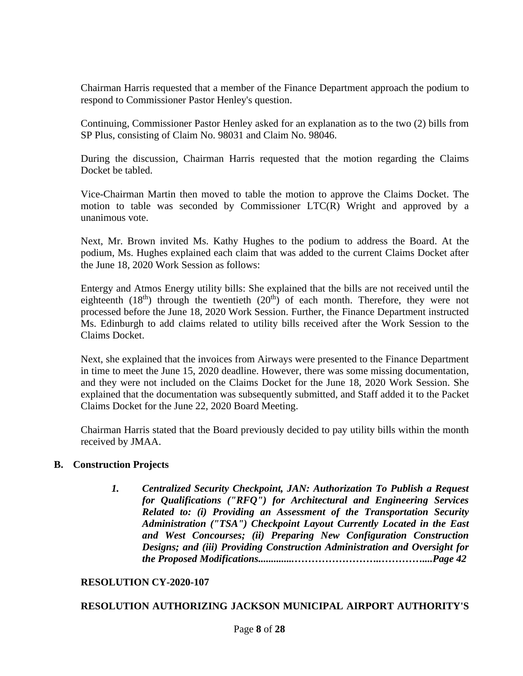Chairman Harris requested that a member of the Finance Department approach the podium to respond to Commissioner Pastor Henley's question.

Continuing, Commissioner Pastor Henley asked for an explanation as to the two (2) bills from SP Plus, consisting of Claim No. 98031 and Claim No. 98046.

During the discussion, Chairman Harris requested that the motion regarding the Claims Docket be tabled.

Vice-Chairman Martin then moved to table the motion to approve the Claims Docket. The motion to table was seconded by Commissioner LTC(R) Wright and approved by a unanimous vote.

Next, Mr. Brown invited Ms. Kathy Hughes to the podium to address the Board. At the podium, Ms. Hughes explained each claim that was added to the current Claims Docket after the June 18, 2020 Work Session as follows:

Entergy and Atmos Energy utility bills: She explained that the bills are not received until the eighteenth  $(18<sup>th</sup>)$  through the twentieth  $(20<sup>th</sup>)$  of each month. Therefore, they were not processed before the June 18, 2020 Work Session. Further, the Finance Department instructed Ms. Edinburgh to add claims related to utility bills received after the Work Session to the Claims Docket.

Next, she explained that the invoices from Airways were presented to the Finance Department in time to meet the June 15, 2020 deadline. However, there was some missing documentation, and they were not included on the Claims Docket for the June 18, 2020 Work Session. She explained that the documentation was subsequently submitted, and Staff added it to the Packet Claims Docket for the June 22, 2020 Board Meeting.

Chairman Harris stated that the Board previously decided to pay utility bills within the month received by JMAA.

### **B. Construction Projects**

*1. Centralized Security Checkpoint, JAN: Authorization To Publish a Request for Qualifications ("RFQ") for Architectural and Engineering Services Related to: (i) Providing an Assessment of the Transportation Security Administration ("TSA") Checkpoint Layout Currently Located in the East and West Concourses; (ii) Preparing New Configuration Construction Designs; and (iii) Providing Construction Administration and Oversight for the Proposed Modifications..............……………………..…………....Page 42*

### **RESOLUTION CY-2020-107**

### **RESOLUTION AUTHORIZING JACKSON MUNICIPAL AIRPORT AUTHORITY'S**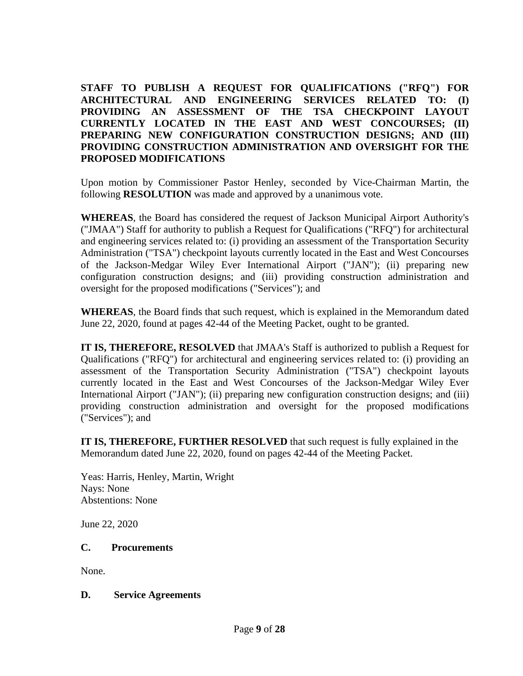**STAFF TO PUBLISH A REQUEST FOR QUALIFICATIONS ("RFQ") FOR ARCHITECTURAL AND ENGINEERING SERVICES RELATED TO: (I) PROVIDING AN ASSESSMENT OF THE TSA CHECKPOINT LAYOUT CURRENTLY LOCATED IN THE EAST AND WEST CONCOURSES; (II) PREPARING NEW CONFIGURATION CONSTRUCTION DESIGNS; AND (III) PROVIDING CONSTRUCTION ADMINISTRATION AND OVERSIGHT FOR THE PROPOSED MODIFICATIONS**

Upon motion by Commissioner Pastor Henley, seconded by Vice-Chairman Martin, the following **RESOLUTION** was made and approved by a unanimous vote.

**WHEREAS**, the Board has considered the request of Jackson Municipal Airport Authority's ("JMAA") Staff for authority to publish a Request for Qualifications ("RFQ") for architectural and engineering services related to: (i) providing an assessment of the Transportation Security Administration ("TSA") checkpoint layouts currently located in the East and West Concourses of the Jackson-Medgar Wiley Ever International Airport ("JAN"); (ii) preparing new configuration construction designs; and (iii) providing construction administration and oversight for the proposed modifications ("Services"); and

**WHEREAS**, the Board finds that such request, which is explained in the Memorandum dated June 22, 2020, found at pages 42-44 of the Meeting Packet, ought to be granted.

**IT IS, THEREFORE, RESOLVED** that JMAA's Staff is authorized to publish a Request for Qualifications ("RFQ") for architectural and engineering services related to: (i) providing an assessment of the Transportation Security Administration ("TSA") checkpoint layouts currently located in the East and West Concourses of the Jackson-Medgar Wiley Ever International Airport ("JAN"); (ii) preparing new configuration construction designs; and (iii) providing construction administration and oversight for the proposed modifications ("Services"); and

**IT IS, THEREFORE, FURTHER RESOLVED** that such request is fully explained in the Memorandum dated June 22, 2020, found on pages 42-44 of the Meeting Packet.

Yeas: Harris, Henley, Martin, Wright Nays: None Abstentions: None

June 22, 2020

### **C. Procurements**

None.

#### **D. Service Agreements**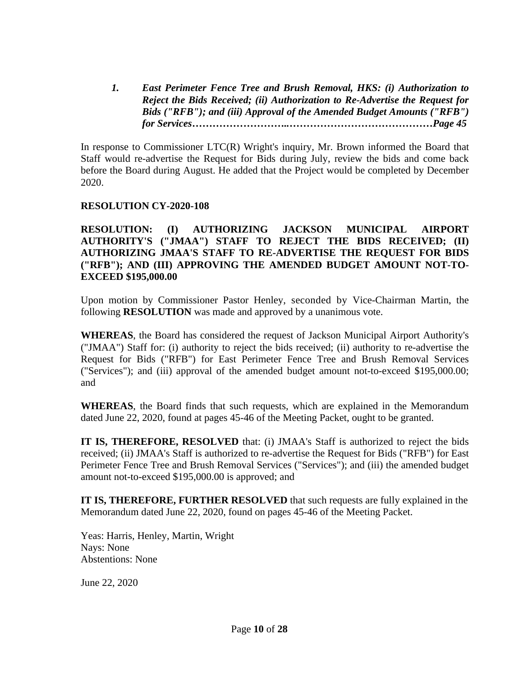*1. East Perimeter Fence Tree and Brush Removal, HKS: (i) Authorization to Reject the Bids Received; (ii) Authorization to Re-Advertise the Request for Bids ("RFB"); and (iii) Approval of the Amended Budget Amounts ("RFB") for Services………………………..……………………………………Page 45*

In response to Commissioner LTC(R) Wright's inquiry, Mr. Brown informed the Board that Staff would re-advertise the Request for Bids during July, review the bids and come back before the Board during August. He added that the Project would be completed by December 2020.

### **RESOLUTION CY-2020-108**

**RESOLUTION: (I) AUTHORIZING JACKSON MUNICIPAL AIRPORT AUTHORITY'S ("JMAA") STAFF TO REJECT THE BIDS RECEIVED; (II) AUTHORIZING JMAA'S STAFF TO RE-ADVERTISE THE REQUEST FOR BIDS ("RFB"); AND (III) APPROVING THE AMENDED BUDGET AMOUNT NOT-TO-EXCEED \$195,000.00**

Upon motion by Commissioner Pastor Henley, seconded by Vice-Chairman Martin, the following **RESOLUTION** was made and approved by a unanimous vote.

**WHEREAS**, the Board has considered the request of Jackson Municipal Airport Authority's ("JMAA") Staff for: (i) authority to reject the bids received; (ii) authority to re-advertise the Request for Bids ("RFB") for East Perimeter Fence Tree and Brush Removal Services ("Services"); and (iii) approval of the amended budget amount not-to-exceed \$195,000.00; and

**WHEREAS**, the Board finds that such requests, which are explained in the Memorandum dated June 22, 2020, found at pages 45-46 of the Meeting Packet, ought to be granted.

**IT IS, THEREFORE, RESOLVED** that: (i) JMAA's Staff is authorized to reject the bids received; (ii) JMAA's Staff is authorized to re-advertise the Request for Bids ("RFB") for East Perimeter Fence Tree and Brush Removal Services ("Services"); and (iii) the amended budget amount not-to-exceed \$195,000.00 is approved; and

**IT IS, THEREFORE, FURTHER RESOLVED** that such requests are fully explained in the Memorandum dated June 22, 2020, found on pages 45-46 of the Meeting Packet.

Yeas: Harris, Henley, Martin, Wright Nays: None Abstentions: None

June 22, 2020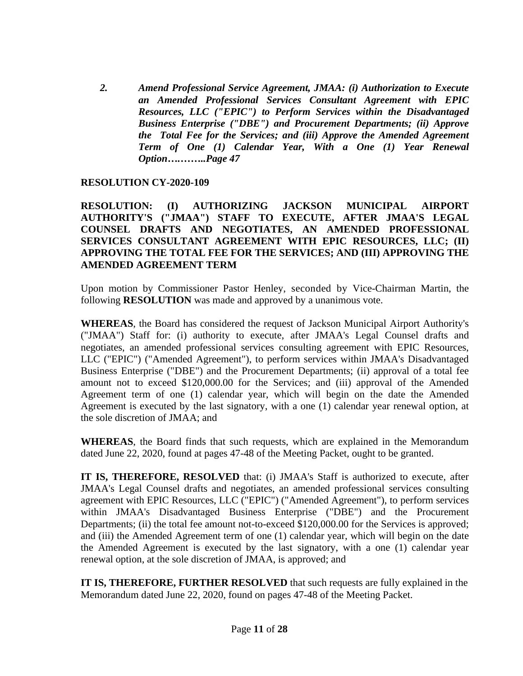*2. Amend Professional Service Agreement, JMAA: (i) Authorization to Execute an Amended Professional Services Consultant Agreement with EPIC Resources, LLC ("EPIC") to Perform Services within the Disadvantaged Business Enterprise ("DBE") and Procurement Departments; (ii) Approve the Total Fee for the Services; and (iii) Approve the Amended Agreement Term of One (1) Calendar Year, With a One (1) Year Renewal Option….……..Page 47*

### **RESOLUTION CY-2020-109**

**RESOLUTION: (I) AUTHORIZING JACKSON MUNICIPAL AIRPORT AUTHORITY'S ("JMAA") STAFF TO EXECUTE, AFTER JMAA'S LEGAL COUNSEL DRAFTS AND NEGOTIATES, AN AMENDED PROFESSIONAL SERVICES CONSULTANT AGREEMENT WITH EPIC RESOURCES, LLC; (II) APPROVING THE TOTAL FEE FOR THE SERVICES; AND (III) APPROVING THE AMENDED AGREEMENT TERM** 

Upon motion by Commissioner Pastor Henley, seconded by Vice-Chairman Martin, the following **RESOLUTION** was made and approved by a unanimous vote.

**WHEREAS**, the Board has considered the request of Jackson Municipal Airport Authority's ("JMAA") Staff for: (i) authority to execute, after JMAA's Legal Counsel drafts and negotiates, an amended professional services consulting agreement with EPIC Resources, LLC ("EPIC") ("Amended Agreement"), to perform services within JMAA's Disadvantaged Business Enterprise ("DBE") and the Procurement Departments; (ii) approval of a total fee amount not to exceed \$120,000.00 for the Services; and (iii) approval of the Amended Agreement term of one (1) calendar year, which will begin on the date the Amended Agreement is executed by the last signatory, with a one (1) calendar year renewal option, at the sole discretion of JMAA; and

**WHEREAS**, the Board finds that such requests, which are explained in the Memorandum dated June 22, 2020, found at pages 47-48 of the Meeting Packet, ought to be granted.

**IT IS, THEREFORE, RESOLVED** that: (i) JMAA's Staff is authorized to execute, after JMAA's Legal Counsel drafts and negotiates, an amended professional services consulting agreement with EPIC Resources, LLC ("EPIC") ("Amended Agreement"), to perform services within JMAA's Disadvantaged Business Enterprise ("DBE") and the Procurement Departments; (ii) the total fee amount not-to-exceed \$120,000.00 for the Services is approved; and (iii) the Amended Agreement term of one (1) calendar year, which will begin on the date the Amended Agreement is executed by the last signatory, with a one (1) calendar year renewal option, at the sole discretion of JMAA, is approved; and

**IT IS, THEREFORE, FURTHER RESOLVED** that such requests are fully explained in the Memorandum dated June 22, 2020, found on pages 47-48 of the Meeting Packet.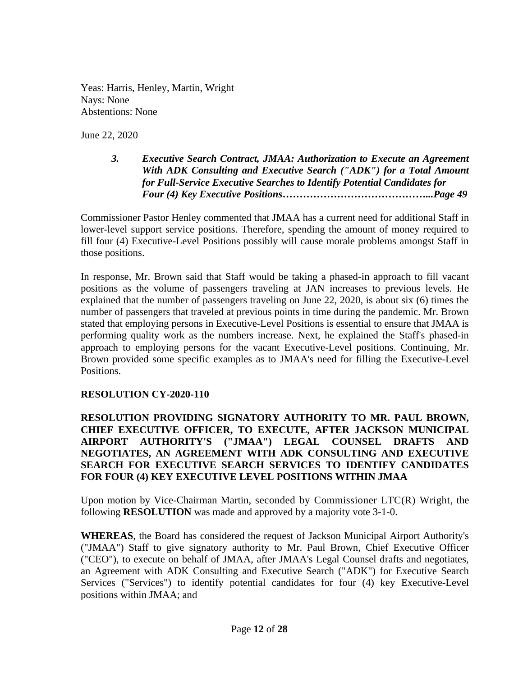Yeas: Harris, Henley, Martin, Wright Nays: None Abstentions: None

June 22, 2020

*3. Executive Search Contract, JMAA: Authorization to Execute an Agreement With ADK Consulting and Executive Search ("ADK") for a Total Amount for Full-Service Executive Searches to Identify Potential Candidates for Four (4) Key Executive Positions……………………………………...Page 49*

Commissioner Pastor Henley commented that JMAA has a current need for additional Staff in lower-level support service positions. Therefore, spending the amount of money required to fill four (4) Executive-Level Positions possibly will cause morale problems amongst Staff in those positions.

In response, Mr. Brown said that Staff would be taking a phased-in approach to fill vacant positions as the volume of passengers traveling at JAN increases to previous levels. He explained that the number of passengers traveling on June 22, 2020, is about six (6) times the number of passengers that traveled at previous points in time during the pandemic. Mr. Brown stated that employing persons in Executive-Level Positions is essential to ensure that JMAA is performing quality work as the numbers increase. Next, he explained the Staff's phased-in approach to employing persons for the vacant Executive-Level positions. Continuing, Mr. Brown provided some specific examples as to JMAA's need for filling the Executive-Level Positions.

## **RESOLUTION CY-2020-110**

**RESOLUTION PROVIDING SIGNATORY AUTHORITY TO MR. PAUL BROWN, CHIEF EXECUTIVE OFFICER, TO EXECUTE, AFTER JACKSON MUNICIPAL AIRPORT AUTHORITY'S ("JMAA") LEGAL COUNSEL DRAFTS AND NEGOTIATES, AN AGREEMENT WITH ADK CONSULTING AND EXECUTIVE SEARCH FOR EXECUTIVE SEARCH SERVICES TO IDENTIFY CANDIDATES FOR FOUR (4) KEY EXECUTIVE LEVEL POSITIONS WITHIN JMAA**

Upon motion by Vice-Chairman Martin, seconded by Commissioner LTC(R) Wright, the following **RESOLUTION** was made and approved by a majority vote 3-1-0.

**WHEREAS**, the Board has considered the request of Jackson Municipal Airport Authority's ("JMAA") Staff to give signatory authority to Mr. Paul Brown, Chief Executive Officer ("CEO"), to execute on behalf of JMAA, after JMAA's Legal Counsel drafts and negotiates, an Agreement with ADK Consulting and Executive Search ("ADK") for Executive Search Services ("Services") to identify potential candidates for four (4) key Executive-Level positions within JMAA; and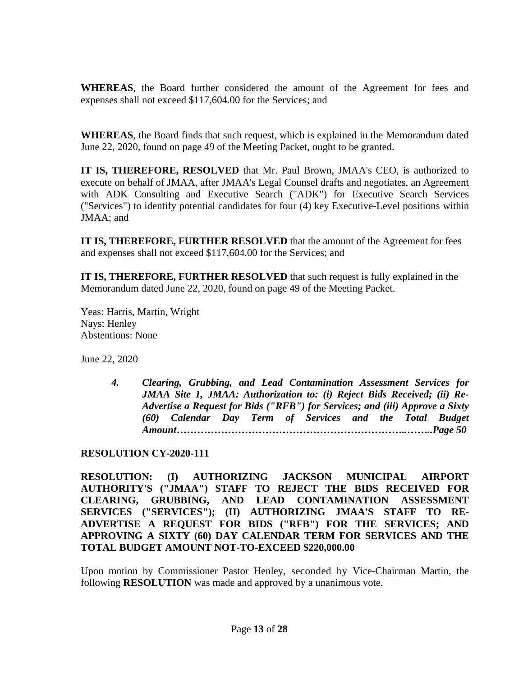**WHEREAS**, the Board further considered the amount of the Agreement for fees and expenses shall not exceed \$117,604.00 for the Services; and

**WHEREAS**, the Board finds that such request, which is explained in the Memorandum dated June 22, 2020, found on page 49 of the Meeting Packet, ought to be granted.

**IT IS, THEREFORE, RESOLVED** that Mr. Paul Brown, JMAA's CEO, is authorized to execute on behalf of JMAA, after JMAA's Legal Counsel drafts and negotiates, an Agreement with ADK Consulting and Executive Search ("ADK") for Executive Search Services ("Services") to identify potential candidates for four (4) key Executive-Level positions within JMAA; and

**IT IS, THEREFORE, FURTHER RESOLVED** that the amount of the Agreement for fees and expenses shall not exceed \$117,604.00 for the Services; and

**IT IS, THEREFORE, FURTHER RESOLVED** that such request is fully explained in the Memorandum dated June 22, 2020, found on page 49 of the Meeting Packet.

Yeas: Harris, Martin, Wright Nays: Henley Abstentions: None

June 22, 2020

*4. Clearing, Grubbing, and Lead Contamination Assessment Services for JMAA Site 1, JMAA: Authorization to: (i) Reject Bids Received; (ii) Re-Advertise a Request for Bids ("RFB") for Services; and (iii) Approve a Sixty (60) Calendar Day Term of Services and the Total Budget Amount…………………………………………………………..……..Page 50*

**RESOLUTION CY-2020-111**

**RESOLUTION: (I) AUTHORIZING JACKSON MUNICIPAL AIRPORT AUTHORITY'S ("JMAA") STAFF TO REJECT THE BIDS RECEIVED FOR CLEARING, GRUBBING, AND LEAD CONTAMINATION ASSESSMENT SERVICES ("SERVICES"); (II) AUTHORIZING JMAA'S STAFF TO RE-ADVERTISE A REQUEST FOR BIDS ("RFB") FOR THE SERVICES; AND APPROVING A SIXTY (60) DAY CALENDAR TERM FOR SERVICES AND THE TOTAL BUDGET AMOUNT NOT-TO-EXCEED \$220,000.00**

Upon motion by Commissioner Pastor Henley, seconded by Vice-Chairman Martin, the following **RESOLUTION** was made and approved by a unanimous vote.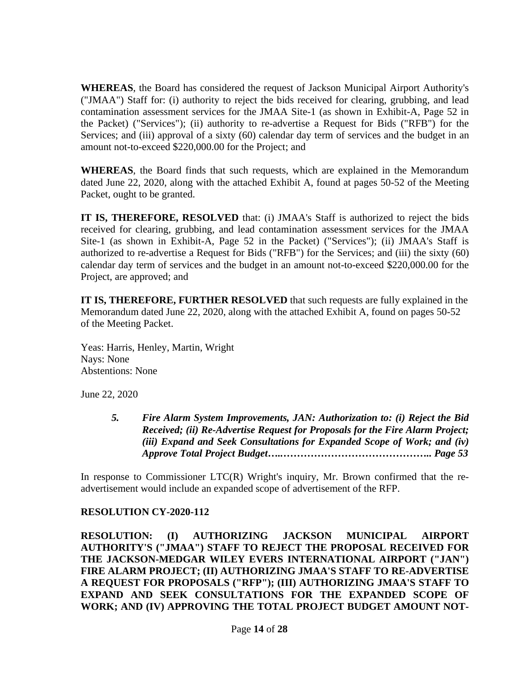**WHEREAS**, the Board has considered the request of Jackson Municipal Airport Authority's ("JMAA") Staff for: (i) authority to reject the bids received for clearing, grubbing, and lead contamination assessment services for the JMAA Site-1 (as shown in Exhibit-A, Page 52 in the Packet) ("Services"); (ii) authority to re-advertise a Request for Bids ("RFB") for the Services; and (iii) approval of a sixty (60) calendar day term of services and the budget in an amount not-to-exceed \$220,000.00 for the Project; and

**WHEREAS**, the Board finds that such requests, which are explained in the Memorandum dated June 22, 2020, along with the attached Exhibit A, found at pages 50-52 of the Meeting Packet, ought to be granted.

**IT IS, THEREFORE, RESOLVED** that: (i) JMAA's Staff is authorized to reject the bids received for clearing, grubbing, and lead contamination assessment services for the JMAA Site-1 (as shown in Exhibit-A, Page 52 in the Packet) ("Services"); (ii) JMAA's Staff is authorized to re-advertise a Request for Bids ("RFB") for the Services; and (iii) the sixty (60) calendar day term of services and the budget in an amount not-to-exceed \$220,000.00 for the Project, are approved; and

**IT IS, THEREFORE, FURTHER RESOLVED** that such requests are fully explained in the Memorandum dated June 22, 2020, along with the attached Exhibit A, found on pages 50-52 of the Meeting Packet.

Yeas: Harris, Henley, Martin, Wright Nays: None Abstentions: None

June 22, 2020

*5. Fire Alarm System Improvements, JAN: Authorization to: (i) Reject the Bid Received; (ii) Re-Advertise Request for Proposals for the Fire Alarm Project; (iii) Expand and Seek Consultations for Expanded Scope of Work; and (iv) Approve Total Project Budget…..…………………………………….. Page 53*

In response to Commissioner  $LTC(R)$  Wright's inquiry, Mr. Brown confirmed that the readvertisement would include an expanded scope of advertisement of the RFP.

## **RESOLUTION CY-2020-112**

**RESOLUTION: (I) AUTHORIZING JACKSON MUNICIPAL AIRPORT AUTHORITY'S ("JMAA") STAFF TO REJECT THE PROPOSAL RECEIVED FOR THE JACKSON-MEDGAR WILEY EVERS INTERNATIONAL AIRPORT ("JAN") FIRE ALARM PROJECT; (II) AUTHORIZING JMAA'S STAFF TO RE-ADVERTISE A REQUEST FOR PROPOSALS ("RFP"); (III) AUTHORIZING JMAA'S STAFF TO EXPAND AND SEEK CONSULTATIONS FOR THE EXPANDED SCOPE OF WORK; AND (IV) APPROVING THE TOTAL PROJECT BUDGET AMOUNT NOT-**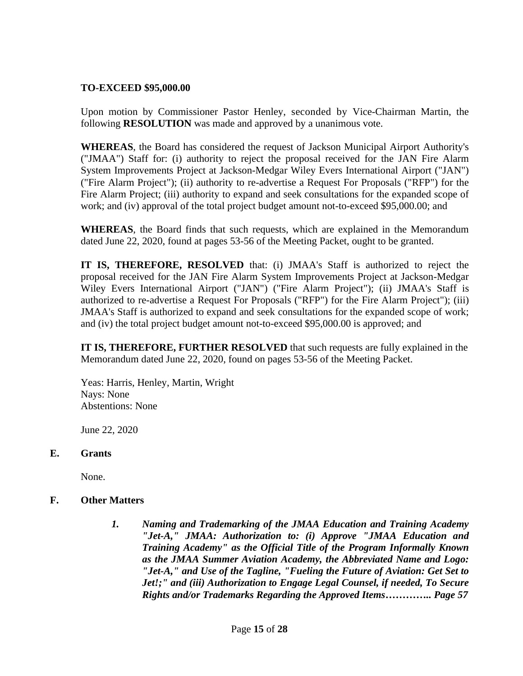### **TO-EXCEED \$95,000.00**

Upon motion by Commissioner Pastor Henley, seconded by Vice-Chairman Martin, the following **RESOLUTION** was made and approved by a unanimous vote.

**WHEREAS**, the Board has considered the request of Jackson Municipal Airport Authority's ("JMAA") Staff for: (i) authority to reject the proposal received for the JAN Fire Alarm System Improvements Project at Jackson-Medgar Wiley Evers International Airport ("JAN") ("Fire Alarm Project"); (ii) authority to re-advertise a Request For Proposals ("RFP") for the Fire Alarm Project; (iii) authority to expand and seek consultations for the expanded scope of work; and (iv) approval of the total project budget amount not-to-exceed \$95,000.00; and

**WHEREAS**, the Board finds that such requests, which are explained in the Memorandum dated June 22, 2020, found at pages 53-56 of the Meeting Packet, ought to be granted.

**IT IS, THEREFORE, RESOLVED** that: (i) JMAA's Staff is authorized to reject the proposal received for the JAN Fire Alarm System Improvements Project at Jackson-Medgar Wiley Evers International Airport ("JAN") ("Fire Alarm Project"); (ii) JMAA's Staff is authorized to re-advertise a Request For Proposals ("RFP") for the Fire Alarm Project"); (iii) JMAA's Staff is authorized to expand and seek consultations for the expanded scope of work; and (iv) the total project budget amount not-to-exceed \$95,000.00 is approved; and

**IT IS, THEREFORE, FURTHER RESOLVED** that such requests are fully explained in the Memorandum dated June 22, 2020, found on pages 53-56 of the Meeting Packet.

Yeas: Harris, Henley, Martin, Wright Nays: None Abstentions: None

June 22, 2020

#### **E. Grants**

None.

#### **F. Other Matters**

*1. Naming and Trademarking of the JMAA Education and Training Academy "Jet-A," JMAA: Authorization to: (i) Approve "JMAA Education and Training Academy" as the Official Title of the Program Informally Known as the JMAA Summer Aviation Academy, the Abbreviated Name and Logo: "Jet-A," and Use of the Tagline, "Fueling the Future of Aviation: Get Set to Jet!;" and (iii) Authorization to Engage Legal Counsel, if needed, To Secure Rights and/or Trademarks Regarding the Approved Items………….. Page 57*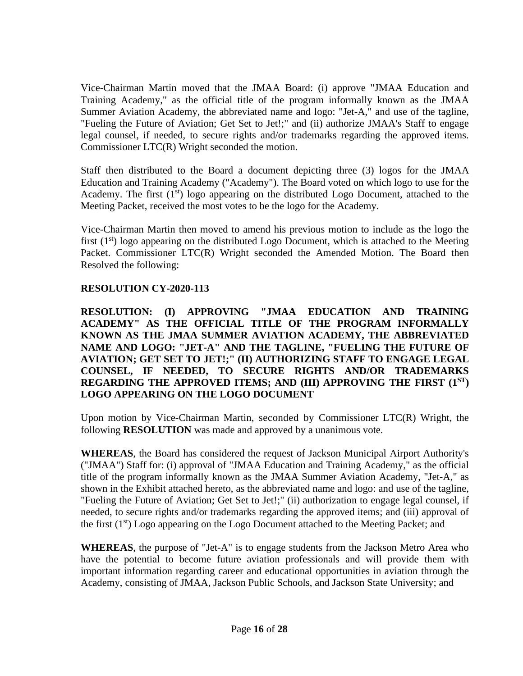Vice-Chairman Martin moved that the JMAA Board: (i) approve "JMAA Education and Training Academy," as the official title of the program informally known as the JMAA Summer Aviation Academy, the abbreviated name and logo: "Jet-A," and use of the tagline, "Fueling the Future of Aviation; Get Set to Jet!;" and (ii) authorize JMAA's Staff to engage legal counsel, if needed, to secure rights and/or trademarks regarding the approved items. Commissioner LTC(R) Wright seconded the motion.

Staff then distributed to the Board a document depicting three (3) logos for the JMAA Education and Training Academy ("Academy"). The Board voted on which logo to use for the Academy. The first  $(1<sup>st</sup>)$  logo appearing on the distributed Logo Document, attached to the Meeting Packet, received the most votes to be the logo for the Academy.

Vice-Chairman Martin then moved to amend his previous motion to include as the logo the first  $(1<sup>st</sup>)$  logo appearing on the distributed Logo Document, which is attached to the Meeting Packet. Commissioner LTC(R) Wright seconded the Amended Motion. The Board then Resolved the following:

## **RESOLUTION CY-2020-113**

**RESOLUTION: (I) APPROVING "JMAA EDUCATION AND TRAINING ACADEMY" AS THE OFFICIAL TITLE OF THE PROGRAM INFORMALLY KNOWN AS THE JMAA SUMMER AVIATION ACADEMY, THE ABBREVIATED NAME AND LOGO: "JET-A" AND THE TAGLINE, "FUELING THE FUTURE OF AVIATION; GET SET TO JET!;" (II) AUTHORIZING STAFF TO ENGAGE LEGAL COUNSEL, IF NEEDED, TO SECURE RIGHTS AND/OR TRADEMARKS REGARDING THE APPROVED ITEMS; AND (III) APPROVING THE FIRST (1ST) LOGO APPEARING ON THE LOGO DOCUMENT**

Upon motion by Vice-Chairman Martin, seconded by Commissioner LTC(R) Wright, the following **RESOLUTION** was made and approved by a unanimous vote.

**WHEREAS**, the Board has considered the request of Jackson Municipal Airport Authority's ("JMAA") Staff for: (i) approval of "JMAA Education and Training Academy," as the official title of the program informally known as the JMAA Summer Aviation Academy, "Jet-A," as shown in the Exhibit attached hereto, as the abbreviated name and logo: and use of the tagline, "Fueling the Future of Aviation; Get Set to Jet!;" (ii) authorization to engage legal counsel, if needed, to secure rights and/or trademarks regarding the approved items; and (iii) approval of the first  $(1<sup>st</sup>)$  Logo appearing on the Logo Document attached to the Meeting Packet; and

**WHEREAS**, the purpose of "Jet-A" is to engage students from the Jackson Metro Area who have the potential to become future aviation professionals and will provide them with important information regarding career and educational opportunities in aviation through the Academy, consisting of JMAA, Jackson Public Schools, and Jackson State University; and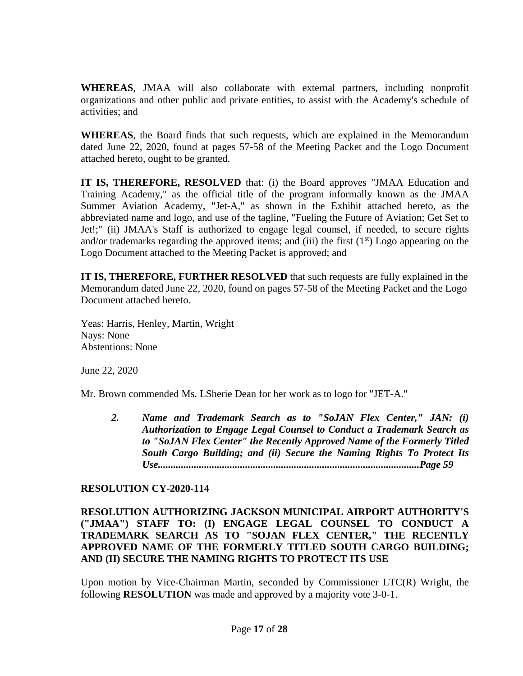**WHEREAS**, JMAA will also collaborate with external partners, including nonprofit organizations and other public and private entities, to assist with the Academy's schedule of activities; and

**WHEREAS**, the Board finds that such requests, which are explained in the Memorandum dated June 22, 2020, found at pages 57-58 of the Meeting Packet and the Logo Document attached hereto, ought to be granted.

**IT IS, THEREFORE, RESOLVED** that: (i) the Board approves "JMAA Education and Training Academy," as the official title of the program informally known as the JMAA Summer Aviation Academy, "Jet-A," as shown in the Exhibit attached hereto, as the abbreviated name and logo, and use of the tagline, "Fueling the Future of Aviation; Get Set to Jet!;" (ii) JMAA's Staff is authorized to engage legal counsel, if needed, to secure rights and/or trademarks regarding the approved items; and (iii) the first  $(1<sup>st</sup>)$  Logo appearing on the Logo Document attached to the Meeting Packet is approved; and

**IT IS, THEREFORE, FURTHER RESOLVED** that such requests are fully explained in the Memorandum dated June 22, 2020, found on pages 57-58 of the Meeting Packet and the Logo Document attached hereto.

Yeas: Harris, Henley, Martin, Wright Nays: None Abstentions: None

June 22, 2020

Mr. Brown commended Ms. LSherie Dean for her work as to logo for "JET-A."

*2. Name and Trademark Search as to "SoJAN Flex Center," JAN: (i) Authorization to Engage Legal Counsel to Conduct a Trademark Search as to "SoJAN Flex Center" the Recently Approved Name of the Formerly Titled South Cargo Building; and (ii) Secure the Naming Rights To Protect Its Use......................................................................................................Page 59*

### **RESOLUTION CY-2020-114**

### **RESOLUTION AUTHORIZING JACKSON MUNICIPAL AIRPORT AUTHORITY'S ("JMAA") STAFF TO: (I) ENGAGE LEGAL COUNSEL TO CONDUCT A TRADEMARK SEARCH AS TO "SOJAN FLEX CENTER," THE RECENTLY APPROVED NAME OF THE FORMERLY TITLED SOUTH CARGO BUILDING; AND (II) SECURE THE NAMING RIGHTS TO PROTECT ITS USE**

Upon motion by Vice-Chairman Martin, seconded by Commissioner LTC(R) Wright, the following **RESOLUTION** was made and approved by a majority vote 3-0-1.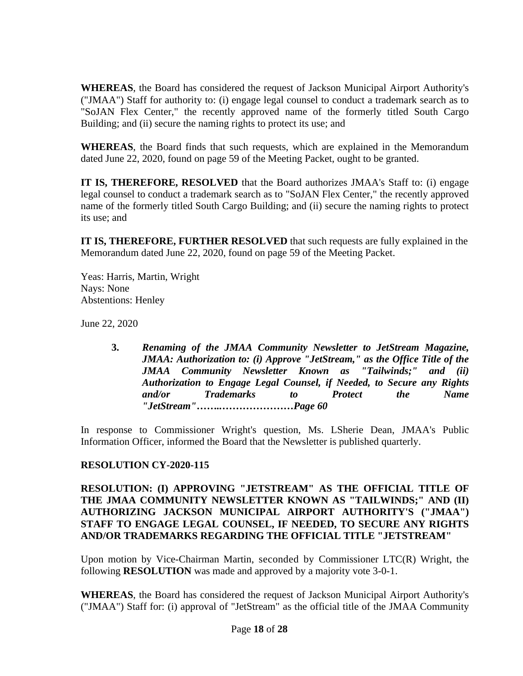**WHEREAS**, the Board has considered the request of Jackson Municipal Airport Authority's ("JMAA") Staff for authority to: (i) engage legal counsel to conduct a trademark search as to "SoJAN Flex Center," the recently approved name of the formerly titled South Cargo Building; and (ii) secure the naming rights to protect its use; and

**WHEREAS**, the Board finds that such requests, which are explained in the Memorandum dated June 22, 2020, found on page 59 of the Meeting Packet, ought to be granted.

**IT IS, THEREFORE, RESOLVED** that the Board authorizes JMAA's Staff to: (i) engage legal counsel to conduct a trademark search as to "SoJAN Flex Center," the recently approved name of the formerly titled South Cargo Building; and (ii) secure the naming rights to protect its use; and

**IT IS, THEREFORE, FURTHER RESOLVED** that such requests are fully explained in the Memorandum dated June 22, 2020, found on page 59 of the Meeting Packet.

Yeas: Harris, Martin, Wright Nays: None Abstentions: Henley

June 22, 2020

**3.** *Renaming of the JMAA Community Newsletter to JetStream Magazine, JMAA: Authorization to: (i) Approve "JetStream," as the Office Title of the JMAA Community Newsletter Known as "Tailwinds;" and (ii) Authorization to Engage Legal Counsel, if Needed, to Secure any Rights and/or Trademarks to Protect the Name "JetStream"……..…………………Page 60*

In response to Commissioner Wright's question, Ms. LSherie Dean, JMAA's Public Information Officer, informed the Board that the Newsletter is published quarterly.

### **RESOLUTION CY-2020-115**

**RESOLUTION: (I) APPROVING "JETSTREAM" AS THE OFFICIAL TITLE OF THE JMAA COMMUNITY NEWSLETTER KNOWN AS "TAILWINDS;" AND (II) AUTHORIZING JACKSON MUNICIPAL AIRPORT AUTHORITY'S ("JMAA") STAFF TO ENGAGE LEGAL COUNSEL, IF NEEDED, TO SECURE ANY RIGHTS AND/OR TRADEMARKS REGARDING THE OFFICIAL TITLE "JETSTREAM"**

Upon motion by Vice-Chairman Martin, seconded by Commissioner LTC(R) Wright, the following **RESOLUTION** was made and approved by a majority vote 3-0-1.

**WHEREAS**, the Board has considered the request of Jackson Municipal Airport Authority's ("JMAA") Staff for: (i) approval of "JetStream" as the official title of the JMAA Community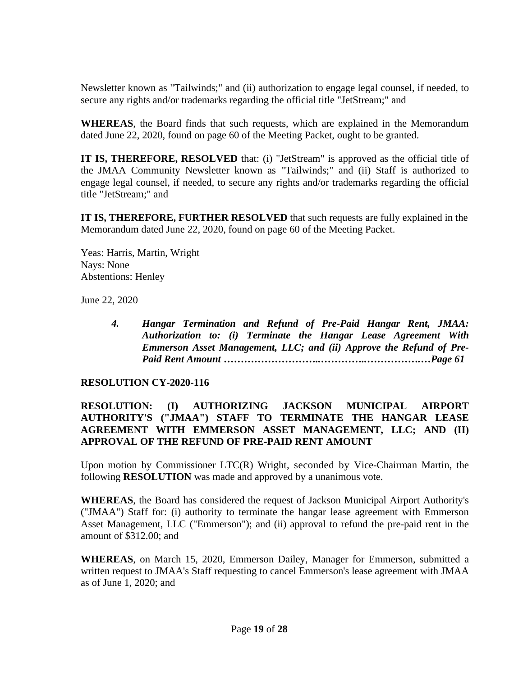Newsletter known as "Tailwinds;" and (ii) authorization to engage legal counsel, if needed, to secure any rights and/or trademarks regarding the official title "JetStream;" and

**WHEREAS**, the Board finds that such requests, which are explained in the Memorandum dated June 22, 2020, found on page 60 of the Meeting Packet, ought to be granted.

**IT IS, THEREFORE, RESOLVED** that: (i) "JetStream" is approved as the official title of the JMAA Community Newsletter known as "Tailwinds;" and (ii) Staff is authorized to engage legal counsel, if needed, to secure any rights and/or trademarks regarding the official title "JetStream;" and

**IT IS, THEREFORE, FURTHER RESOLVED** that such requests are fully explained in the Memorandum dated June 22, 2020, found on page 60 of the Meeting Packet.

Yeas: Harris, Martin, Wright Nays: None Abstentions: Henley

June 22, 2020

*4. Hangar Termination and Refund of Pre-Paid Hangar Rent, JMAA: Authorization to: (i) Terminate the Hangar Lease Agreement With Emmerson Asset Management, LLC; and (ii) Approve the Refund of Pre-Paid Rent Amount ………………………..…………..…………….…Page 61*

### **RESOLUTION CY-2020-116**

### **RESOLUTION: (I) AUTHORIZING JACKSON MUNICIPAL AIRPORT AUTHORITY'S ("JMAA") STAFF TO TERMINATE THE HANGAR LEASE AGREEMENT WITH EMMERSON ASSET MANAGEMENT, LLC; AND (II) APPROVAL OF THE REFUND OF PRE-PAID RENT AMOUNT**

Upon motion by Commissioner LTC(R) Wright, seconded by Vice-Chairman Martin, the following **RESOLUTION** was made and approved by a unanimous vote.

**WHEREAS**, the Board has considered the request of Jackson Municipal Airport Authority's ("JMAA") Staff for: (i) authority to terminate the hangar lease agreement with Emmerson Asset Management, LLC ("Emmerson"); and (ii) approval to refund the pre-paid rent in the amount of \$312.00; and

**WHEREAS**, on March 15, 2020, Emmerson Dailey, Manager for Emmerson, submitted a written request to JMAA's Staff requesting to cancel Emmerson's lease agreement with JMAA as of June 1, 2020; and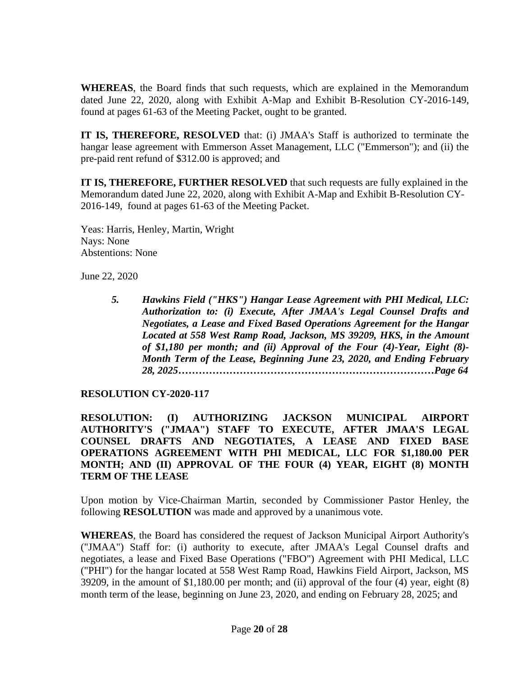**WHEREAS**, the Board finds that such requests, which are explained in the Memorandum dated June 22, 2020, along with Exhibit A-Map and Exhibit B-Resolution CY-2016-149, found at pages 61-63 of the Meeting Packet, ought to be granted.

**IT IS, THEREFORE, RESOLVED** that: (i) JMAA's Staff is authorized to terminate the hangar lease agreement with Emmerson Asset Management, LLC ("Emmerson"); and (ii) the pre-paid rent refund of \$312.00 is approved; and

**IT IS, THEREFORE, FURTHER RESOLVED** that such requests are fully explained in the Memorandum dated June 22, 2020, along with Exhibit A-Map and Exhibit B-Resolution CY-2016-149, found at pages 61-63 of the Meeting Packet.

Yeas: Harris, Henley, Martin, Wright Nays: None Abstentions: None

June 22, 2020

*5. Hawkins Field ("HKS") Hangar Lease Agreement with PHI Medical, LLC: Authorization to: (i) Execute, After JMAA's Legal Counsel Drafts and Negotiates, a Lease and Fixed Based Operations Agreement for the Hangar Located at 558 West Ramp Road, Jackson, MS 39209, HKS, in the Amount of \$1,180 per month; and (ii) Approval of the Four (4)-Year, Eight (8)- Month Term of the Lease, Beginning June 23, 2020, and Ending February 28, 2025…………………………………………………………………Page 64*

## **RESOLUTION CY-2020-117**

**RESOLUTION: (I) AUTHORIZING JACKSON MUNICIPAL AIRPORT AUTHORITY'S ("JMAA") STAFF TO EXECUTE, AFTER JMAA'S LEGAL COUNSEL DRAFTS AND NEGOTIATES, A LEASE AND FIXED BASE OPERATIONS AGREEMENT WITH PHI MEDICAL, LLC FOR \$1,180.00 PER MONTH; AND (II) APPROVAL OF THE FOUR (4) YEAR, EIGHT (8) MONTH TERM OF THE LEASE**

Upon motion by Vice-Chairman Martin, seconded by Commissioner Pastor Henley, the following **RESOLUTION** was made and approved by a unanimous vote.

**WHEREAS**, the Board has considered the request of Jackson Municipal Airport Authority's ("JMAA") Staff for: (i) authority to execute, after JMAA's Legal Counsel drafts and negotiates, a lease and Fixed Base Operations ("FBO") Agreement with PHI Medical, LLC ("PHI") for the hangar located at 558 West Ramp Road, Hawkins Field Airport, Jackson, MS 39209, in the amount of  $$1,180.00$  per month; and (ii) approval of the four (4) year, eight (8) month term of the lease, beginning on June 23, 2020, and ending on February 28, 2025; and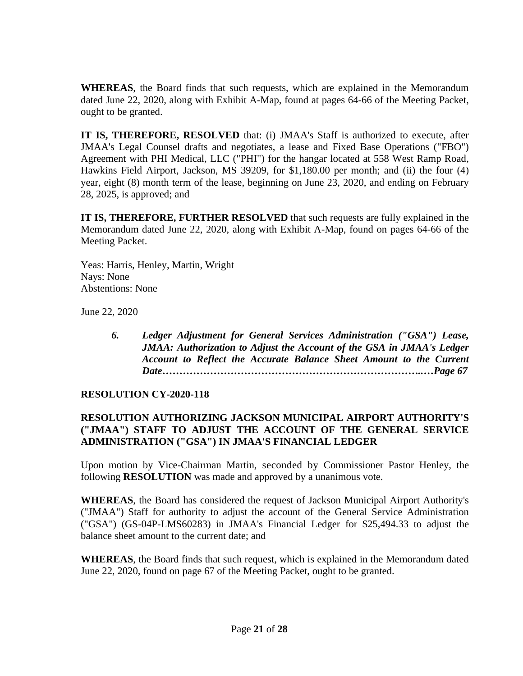**WHEREAS**, the Board finds that such requests, which are explained in the Memorandum dated June 22, 2020, along with Exhibit A-Map, found at pages 64-66 of the Meeting Packet, ought to be granted.

**IT IS, THEREFORE, RESOLVED** that: (i) JMAA's Staff is authorized to execute, after JMAA's Legal Counsel drafts and negotiates, a lease and Fixed Base Operations ("FBO") Agreement with PHI Medical, LLC ("PHI") for the hangar located at 558 West Ramp Road, Hawkins Field Airport, Jackson, MS 39209, for \$1,180.00 per month; and (ii) the four (4) year, eight (8) month term of the lease, beginning on June 23, 2020, and ending on February 28, 2025, is approved; and

**IT IS, THEREFORE, FURTHER RESOLVED** that such requests are fully explained in the Memorandum dated June 22, 2020, along with Exhibit A-Map, found on pages 64-66 of the Meeting Packet.

Yeas: Harris, Henley, Martin, Wright Nays: None Abstentions: None

June 22, 2020

*6. Ledger Adjustment for General Services Administration ("GSA") Lease, JMAA: Authorization to Adjust the Account of the GSA in JMAA's Ledger Account to Reflect the Accurate Balance Sheet Amount to the Current Date…………………………………………………………………..…Page 67*

## **RESOLUTION CY-2020-118**

## **RESOLUTION AUTHORIZING JACKSON MUNICIPAL AIRPORT AUTHORITY'S ("JMAA") STAFF TO ADJUST THE ACCOUNT OF THE GENERAL SERVICE ADMINISTRATION ("GSA") IN JMAA'S FINANCIAL LEDGER**

Upon motion by Vice-Chairman Martin, seconded by Commissioner Pastor Henley, the following **RESOLUTION** was made and approved by a unanimous vote.

**WHEREAS**, the Board has considered the request of Jackson Municipal Airport Authority's ("JMAA") Staff for authority to adjust the account of the General Service Administration ("GSA") (GS-04P-LMS60283) in JMAA's Financial Ledger for \$25,494.33 to adjust the balance sheet amount to the current date; and

**WHEREAS**, the Board finds that such request, which is explained in the Memorandum dated June 22, 2020, found on page 67 of the Meeting Packet, ought to be granted.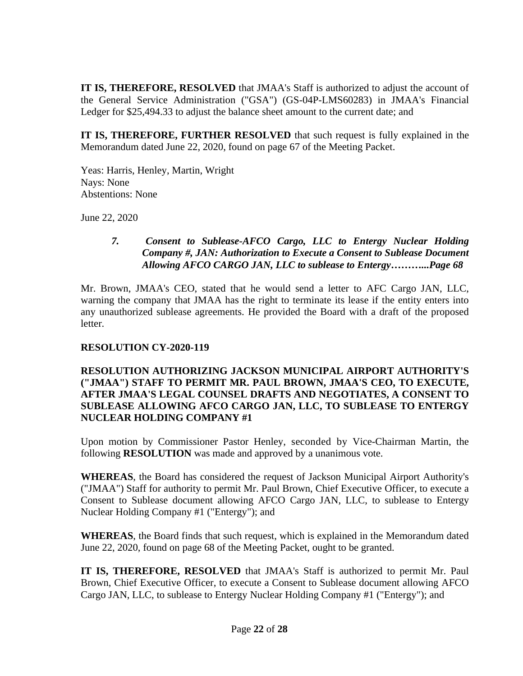**IT IS, THEREFORE, RESOLVED** that JMAA's Staff is authorized to adjust the account of the General Service Administration ("GSA") (GS-04P-LMS60283) in JMAA's Financial Ledger for \$25,494.33 to adjust the balance sheet amount to the current date; and

**IT IS, THEREFORE, FURTHER RESOLVED** that such request is fully explained in the Memorandum dated June 22, 2020, found on page 67 of the Meeting Packet.

Yeas: Harris, Henley, Martin, Wright Nays: None Abstentions: None

June 22, 2020

## *7. Consent to Sublease-AFCO Cargo, LLC to Entergy Nuclear Holding Company #, JAN: Authorization to Execute a Consent to Sublease Document Allowing AFCO CARGO JAN, LLC to sublease to Entergy………...Page 68*

Mr. Brown, JMAA's CEO, stated that he would send a letter to AFC Cargo JAN, LLC, warning the company that JMAA has the right to terminate its lease if the entity enters into any unauthorized sublease agreements. He provided the Board with a draft of the proposed letter.

## **RESOLUTION CY-2020-119**

### **RESOLUTION AUTHORIZING JACKSON MUNICIPAL AIRPORT AUTHORITY'S ("JMAA") STAFF TO PERMIT MR. PAUL BROWN, JMAA'S CEO, TO EXECUTE, AFTER JMAA'S LEGAL COUNSEL DRAFTS AND NEGOTIATES, A CONSENT TO SUBLEASE ALLOWING AFCO CARGO JAN, LLC, TO SUBLEASE TO ENTERGY NUCLEAR HOLDING COMPANY #1**

Upon motion by Commissioner Pastor Henley, seconded by Vice-Chairman Martin, the following **RESOLUTION** was made and approved by a unanimous vote.

**WHEREAS**, the Board has considered the request of Jackson Municipal Airport Authority's ("JMAA") Staff for authority to permit Mr. Paul Brown, Chief Executive Officer, to execute a Consent to Sublease document allowing AFCO Cargo JAN, LLC, to sublease to Entergy Nuclear Holding Company #1 ("Entergy"); and

**WHEREAS**, the Board finds that such request, which is explained in the Memorandum dated June 22, 2020, found on page 68 of the Meeting Packet, ought to be granted.

**IT IS, THEREFORE, RESOLVED** that JMAA's Staff is authorized to permit Mr. Paul Brown, Chief Executive Officer, to execute a Consent to Sublease document allowing AFCO Cargo JAN, LLC, to sublease to Entergy Nuclear Holding Company #1 ("Entergy"); and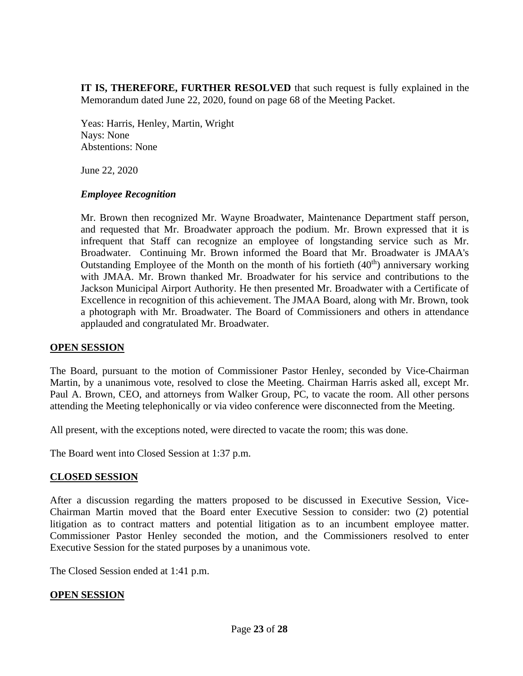**IT IS, THEREFORE, FURTHER RESOLVED** that such request is fully explained in the Memorandum dated June 22, 2020, found on page 68 of the Meeting Packet.

Yeas: Harris, Henley, Martin, Wright Nays: None Abstentions: None

June 22, 2020

### *Employee Recognition*

Mr. Brown then recognized Mr. Wayne Broadwater, Maintenance Department staff person, and requested that Mr. Broadwater approach the podium. Mr. Brown expressed that it is infrequent that Staff can recognize an employee of longstanding service such as Mr. Broadwater. Continuing Mr. Brown informed the Board that Mr. Broadwater is JMAA's Outstanding Employee of the Month on the month of his fortieth  $(40<sup>th</sup>)$  anniversary working with JMAA. Mr. Brown thanked Mr. Broadwater for his service and contributions to the Jackson Municipal Airport Authority. He then presented Mr. Broadwater with a Certificate of Excellence in recognition of this achievement. The JMAA Board, along with Mr. Brown, took a photograph with Mr. Broadwater. The Board of Commissioners and others in attendance applauded and congratulated Mr. Broadwater.

### **OPEN SESSION**

The Board, pursuant to the motion of Commissioner Pastor Henley, seconded by Vice-Chairman Martin, by a unanimous vote, resolved to close the Meeting. Chairman Harris asked all, except Mr. Paul A. Brown, CEO, and attorneys from Walker Group, PC, to vacate the room. All other persons attending the Meeting telephonically or via video conference were disconnected from the Meeting.

All present, with the exceptions noted, were directed to vacate the room; this was done.

The Board went into Closed Session at 1:37 p.m.

### **CLOSED SESSION**

After a discussion regarding the matters proposed to be discussed in Executive Session, Vice-Chairman Martin moved that the Board enter Executive Session to consider: two (2) potential litigation as to contract matters and potential litigation as to an incumbent employee matter. Commissioner Pastor Henley seconded the motion, and the Commissioners resolved to enter Executive Session for the stated purposes by a unanimous vote.

The Closed Session ended at 1:41 p.m.

### **OPEN SESSION**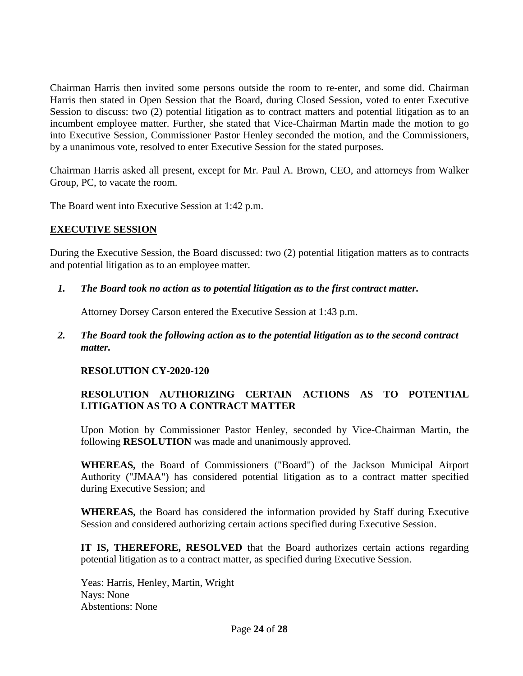Chairman Harris then invited some persons outside the room to re-enter, and some did. Chairman Harris then stated in Open Session that the Board, during Closed Session, voted to enter Executive Session to discuss: two (2) potential litigation as to contract matters and potential litigation as to an incumbent employee matter. Further, she stated that Vice-Chairman Martin made the motion to go into Executive Session, Commissioner Pastor Henley seconded the motion, and the Commissioners, by a unanimous vote, resolved to enter Executive Session for the stated purposes.

Chairman Harris asked all present, except for Mr. Paul A. Brown, CEO, and attorneys from Walker Group, PC, to vacate the room.

The Board went into Executive Session at 1:42 p.m.

### **EXECUTIVE SESSION**

During the Executive Session, the Board discussed: two (2) potential litigation matters as to contracts and potential litigation as to an employee matter.

*1. The Board took no action as to potential litigation as to the first contract matter.*

Attorney Dorsey Carson entered the Executive Session at 1:43 p.m.

*2. The Board took the following action as to the potential litigation as to the second contract matter.*

### **RESOLUTION CY-2020-120**

## **RESOLUTION AUTHORIZING CERTAIN ACTIONS AS TO POTENTIAL LITIGATION AS TO A CONTRACT MATTER**

Upon Motion by Commissioner Pastor Henley, seconded by Vice-Chairman Martin, the following **RESOLUTION** was made and unanimously approved.

**WHEREAS,** the Board of Commissioners ("Board") of the Jackson Municipal Airport Authority ("JMAA") has considered potential litigation as to a contract matter specified during Executive Session; and

**WHEREAS,** the Board has considered the information provided by Staff during Executive Session and considered authorizing certain actions specified during Executive Session.

**IT IS, THEREFORE, RESOLVED** that the Board authorizes certain actions regarding potential litigation as to a contract matter, as specified during Executive Session.

Yeas: Harris, Henley, Martin, Wright Nays: None Abstentions: None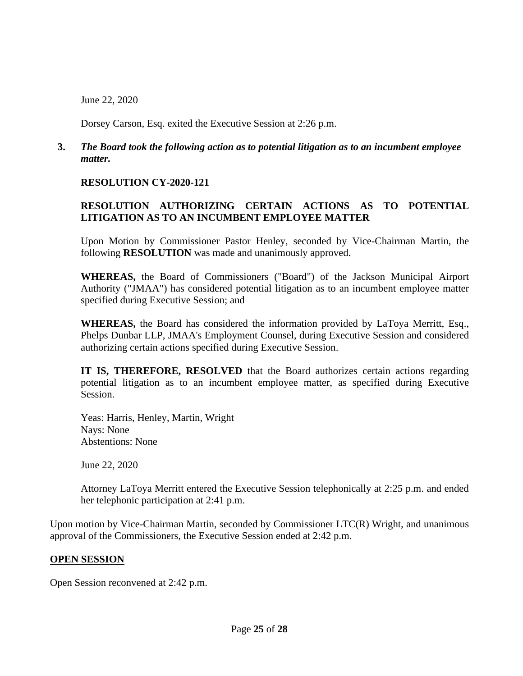June 22, 2020

Dorsey Carson, Esq. exited the Executive Session at 2:26 p.m.

### **3.** *The Board took the following action as to potential litigation as to an incumbent employee matter.*

### **RESOLUTION CY-2020-121**

## **RESOLUTION AUTHORIZING CERTAIN ACTIONS AS TO POTENTIAL LITIGATION AS TO AN INCUMBENT EMPLOYEE MATTER**

Upon Motion by Commissioner Pastor Henley, seconded by Vice-Chairman Martin, the following **RESOLUTION** was made and unanimously approved.

**WHEREAS,** the Board of Commissioners ("Board") of the Jackson Municipal Airport Authority ("JMAA") has considered potential litigation as to an incumbent employee matter specified during Executive Session; and

**WHEREAS,** the Board has considered the information provided by LaToya Merritt, Esq., Phelps Dunbar LLP, JMAA's Employment Counsel, during Executive Session and considered authorizing certain actions specified during Executive Session.

**IT IS, THEREFORE, RESOLVED** that the Board authorizes certain actions regarding potential litigation as to an incumbent employee matter, as specified during Executive Session.

Yeas: Harris, Henley, Martin, Wright Nays: None Abstentions: None

June 22, 2020

Attorney LaToya Merritt entered the Executive Session telephonically at 2:25 p.m. and ended her telephonic participation at 2:41 p.m.

Upon motion by Vice-Chairman Martin, seconded by Commissioner LTC(R) Wright, and unanimous approval of the Commissioners, the Executive Session ended at 2:42 p.m.

### **OPEN SESSION**

Open Session reconvened at 2:42 p.m.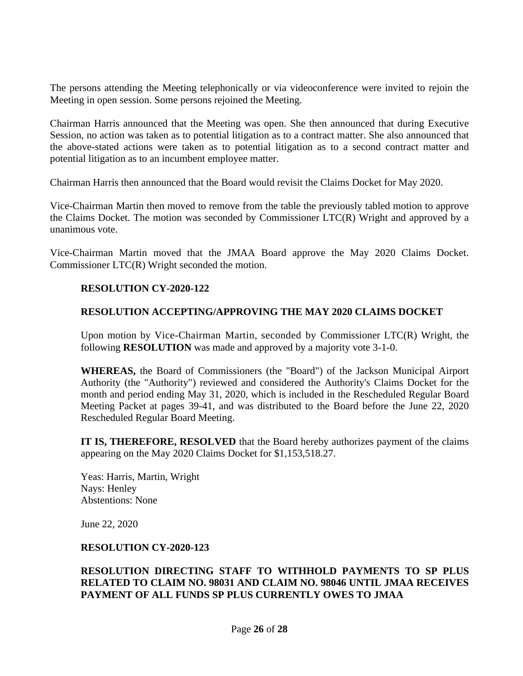The persons attending the Meeting telephonically or via videoconference were invited to rejoin the Meeting in open session. Some persons rejoined the Meeting.

Chairman Harris announced that the Meeting was open. She then announced that during Executive Session, no action was taken as to potential litigation as to a contract matter. She also announced that the above-stated actions were taken as to potential litigation as to a second contract matter and potential litigation as to an incumbent employee matter.

Chairman Harris then announced that the Board would revisit the Claims Docket for May 2020.

Vice-Chairman Martin then moved to remove from the table the previously tabled motion to approve the Claims Docket. The motion was seconded by Commissioner LTC(R) Wright and approved by a unanimous vote.

Vice-Chairman Martin moved that the JMAA Board approve the May 2020 Claims Docket. Commissioner LTC(R) Wright seconded the motion.

#### **RESOLUTION CY-2020-122**

### **RESOLUTION ACCEPTING/APPROVING THE MAY 2020 CLAIMS DOCKET**

Upon motion by Vice-Chairman Martin, seconded by Commissioner LTC(R) Wright, the following **RESOLUTION** was made and approved by a majority vote 3-1-0.

**WHEREAS,** the Board of Commissioners (the "Board") of the Jackson Municipal Airport Authority (the "Authority") reviewed and considered the Authority's Claims Docket for the month and period ending May 31, 2020, which is included in the Rescheduled Regular Board Meeting Packet at pages 39-41, and was distributed to the Board before the June 22, 2020 Rescheduled Regular Board Meeting.

**IT IS, THEREFORE, RESOLVED** that the Board hereby authorizes payment of the claims appearing on the May 2020 Claims Docket for \$1,153,518.27.

Yeas: Harris, Martin, Wright Nays: Henley Abstentions: None

June 22, 2020

#### **RESOLUTION CY-2020-123**

### **RESOLUTION DIRECTING STAFF TO WITHHOLD PAYMENTS TO SP PLUS RELATED TO CLAIM NO. 98031 AND CLAIM NO. 98046 UNTIL JMAA RECEIVES PAYMENT OF ALL FUNDS SP PLUS CURRENTLY OWES TO JMAA**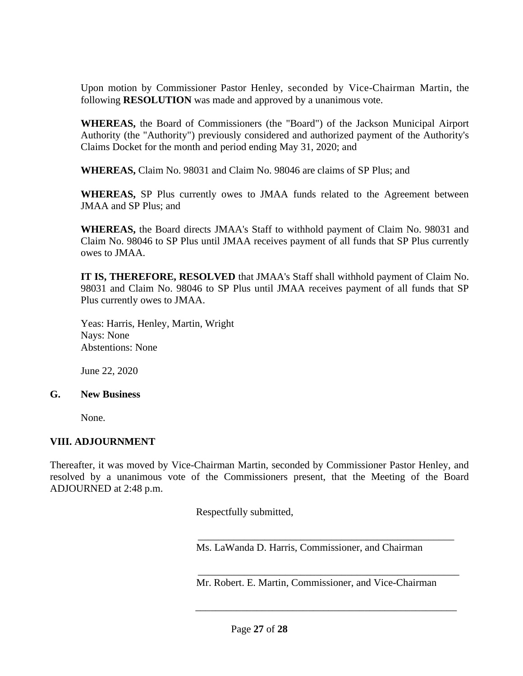Upon motion by Commissioner Pastor Henley, seconded by Vice-Chairman Martin, the following **RESOLUTION** was made and approved by a unanimous vote.

**WHEREAS,** the Board of Commissioners (the "Board") of the Jackson Municipal Airport Authority (the "Authority") previously considered and authorized payment of the Authority's Claims Docket for the month and period ending May 31, 2020; and

**WHEREAS,** Claim No. 98031 and Claim No. 98046 are claims of SP Plus; and

**WHEREAS,** SP Plus currently owes to JMAA funds related to the Agreement between JMAA and SP Plus; and

**WHEREAS,** the Board directs JMAA's Staff to withhold payment of Claim No. 98031 and Claim No. 98046 to SP Plus until JMAA receives payment of all funds that SP Plus currently owes to JMAA.

**IT IS, THEREFORE, RESOLVED** that JMAA's Staff shall withhold payment of Claim No. 98031 and Claim No. 98046 to SP Plus until JMAA receives payment of all funds that SP Plus currently owes to JMAA.

Yeas: Harris, Henley, Martin, Wright Nays: None Abstentions: None

June 22, 2020

### **G. New Business**

None.

### **VIII. ADJOURNMENT**

Thereafter, it was moved by Vice-Chairman Martin, seconded by Commissioner Pastor Henley, and resolved by a unanimous vote of the Commissioners present, that the Meeting of the Board ADJOURNED at 2:48 p.m.

Respectfully submitted,

 \_\_\_\_\_\_\_\_\_\_\_\_\_\_\_\_\_\_\_\_\_\_\_\_\_\_\_\_\_\_\_\_\_\_\_\_\_\_\_\_\_\_\_\_\_\_\_\_\_\_ Ms. LaWanda D. Harris, Commissioner, and Chairman

 \_\_\_\_\_\_\_\_\_\_\_\_\_\_\_\_\_\_\_\_\_\_\_\_\_\_\_\_\_\_\_\_\_\_\_\_\_\_\_\_\_\_\_\_\_\_\_\_\_\_\_ Mr. Robert. E. Martin, Commissioner, and Vice-Chairman

\_\_\_\_\_\_\_\_\_\_\_\_\_\_\_\_\_\_\_\_\_\_\_\_\_\_\_\_\_\_\_\_\_\_\_\_\_\_\_\_\_\_\_\_\_\_\_\_\_\_\_